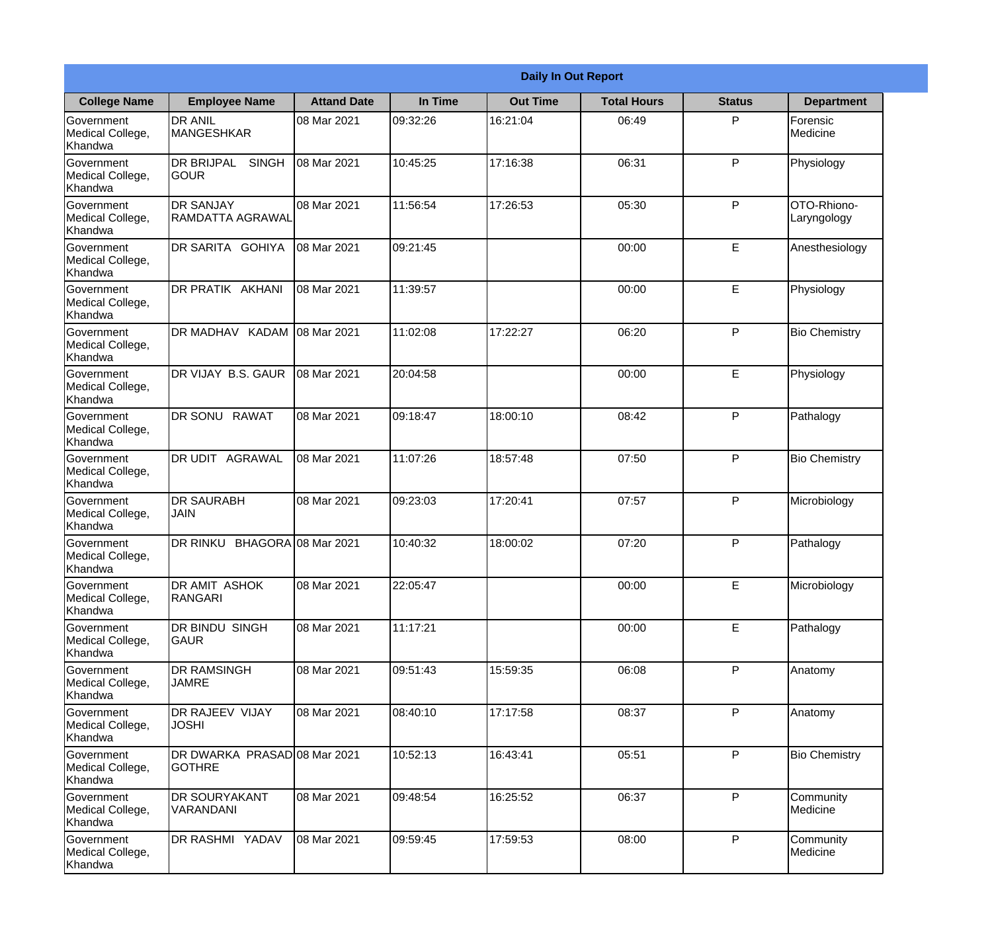|                                           |                                               |                     |          | <b>Daily In Out Report</b> |                    |               |                            |
|-------------------------------------------|-----------------------------------------------|---------------------|----------|----------------------------|--------------------|---------------|----------------------------|
| <b>College Name</b>                       | <b>Employee Name</b>                          | <b>Attand Date</b>  | In Time  | <b>Out Time</b>            | <b>Total Hours</b> | <b>Status</b> | <b>Department</b>          |
| Government<br>Medical College,<br>Khandwa | <b>DR ANIL</b><br><b>MANGESHKAR</b>           | 08 Mar 2021         | 09:32:26 | 16:21:04                   | 06:49              | P             | Forensic<br>Medicine       |
| Government<br>Medical College,<br>Khandwa | DR BRIJPAL<br><b>SINGH</b><br><b>GOUR</b>     | 08 Mar 2021         | 10:45:25 | 17:16:38                   | 06:31              | P             | Physiology                 |
| Government<br>Medical College,<br>Khandwa | <b>DR SANJAY</b><br><b>RAMDATTA AGRAWAL</b>   | 08 Mar 2021         | 11:56:54 | 17:26:53                   | 05:30              | P             | OTO-Rhiono-<br>Laryngology |
| Government<br>Medical College,<br>Khandwa | DR SARITA GOHIYA                              | 08 Mar 2021         | 09:21:45 |                            | 00:00              | E             | Anesthesiology             |
| Government<br>Medical College,<br>Khandwa | DR PRATIK AKHANI                              | 08 Mar 2021         | 11:39:57 |                            | 00:00              | E             | Physiology                 |
| Government<br>Medical College,<br>Khandwa | DR MADHAV KADAM                               | 08 Mar 2021         | 11:02:08 | 17:22:27                   | 06:20              | P             | <b>Bio Chemistry</b>       |
| Government<br>Medical College,<br>Khandwa | DR VIJAY B.S. GAUR                            | 08 Mar 2021         | 20:04:58 |                            | 00:00              | E             | Physiology                 |
| Government<br>Medical College,<br>Khandwa | DR SONU RAWAT                                 | 08 Mar 2021         | 09:18:47 | 18:00:10                   | 08:42              | P             | Pathalogy                  |
| Government<br>Medical College,<br>Khandwa | DR UDIT<br>AGRAWAL                            | 08 Mar 2021         | 11:07:26 | 18:57:48                   | 07:50              | P             | <b>Bio Chemistry</b>       |
| Government<br>Medical College,<br>Khandwa | <b>DR SAURABH</b><br><b>JAIN</b>              | 08 Mar 2021         | 09:23:03 | 17:20:41                   | 07:57              | P             | Microbiology               |
| Government<br>Medical College,<br>Khandwa | <b>DR RINKU</b>                               | BHAGORA 08 Mar 2021 | 10:40:32 | 18:00:02                   | 07:20              | $\mathsf{P}$  | Pathalogy                  |
| Government<br>Medical College,<br>Khandwa | <b>DR AMIT ASHOK</b><br>RANGARI               | 08 Mar 2021         | 22:05:47 |                            | 00:00              | E             | Microbiology               |
| Government<br>Medical College,<br>Khandwa | DR BINDU SINGH<br>GAUR                        | 08 Mar 2021         | 11:17:21 |                            | 00:00              | E             | Pathalogy                  |
| Government<br>Medical College,<br>Khandwa | <b>DR RAMSINGH</b><br><b>JAMRE</b>            | 08 Mar 2021         | 09:51:43 | 15:59:35                   | 06:08              | P             | Anatomy                    |
| Government<br>Medical College,<br>Khandwa | DR RAJEEV VIJAY<br><b>JOSHI</b>               | 08 Mar 2021         | 08:40:10 | 17:17:58                   | 08:37              | $\mathsf{P}$  | Anatomy                    |
| Government<br>Medical College,<br>Khandwa | DR DWARKA PRASAD 08 Mar 2021<br><b>GOTHRE</b> |                     | 10:52:13 | 16:43:41                   | 05:51              | P             | <b>Bio Chemistry</b>       |
| Government<br>Medical College,<br>Khandwa | DR SOURYAKANT<br>VARANDANI                    | 08 Mar 2021         | 09:48:54 | 16:25:52                   | 06:37              | P             | Community<br>Medicine      |
| Government<br>Medical College,<br>Khandwa | DR RASHMI YADAV                               | 08 Mar 2021         | 09:59:45 | 17:59:53                   | 08:00              | $\mathsf{P}$  | Community<br>Medicine      |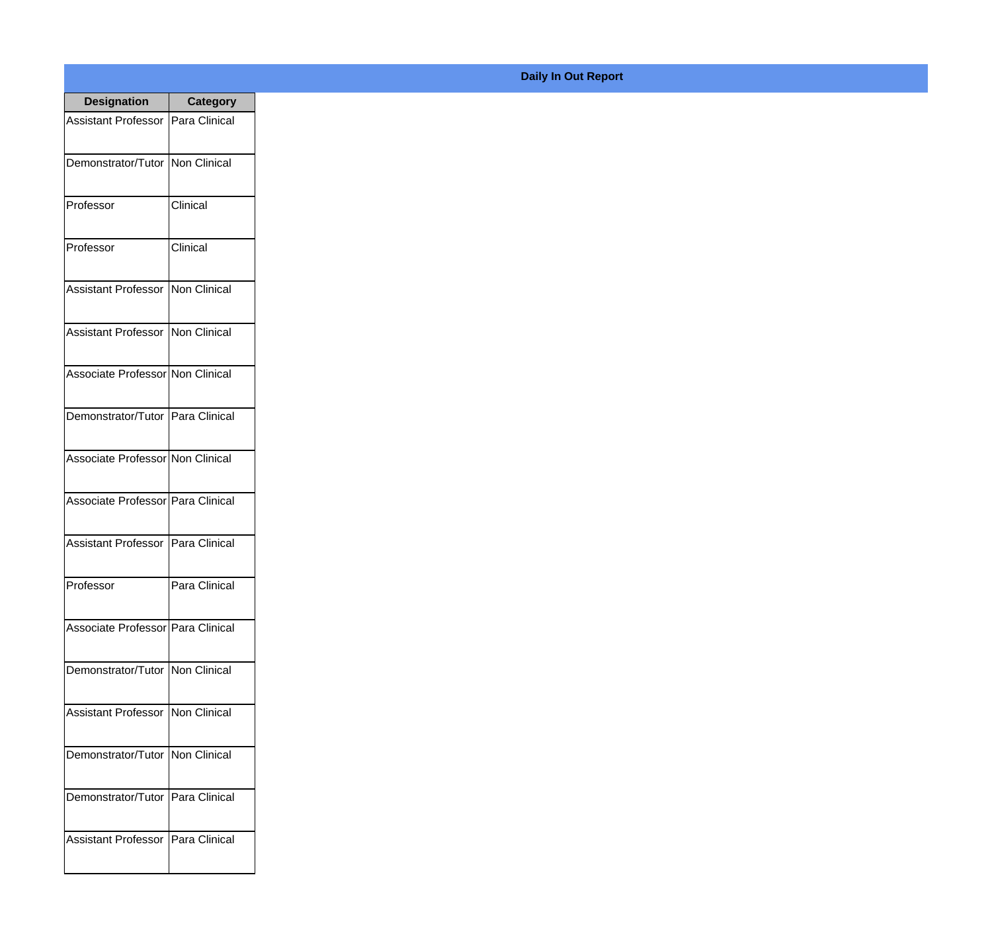| <b>Designation</b>                  | <b>Category</b> |
|-------------------------------------|-----------------|
| <b>Assistant Professor</b>          | Para Clinical   |
| Demonstrator/Tutor                  | Non Clinical    |
| Professor                           | Clinical        |
| Professor                           | Clinical        |
| Assistant Professor                 | Non Clinical    |
| <b>Assistant Professor</b>          | Non Clinical    |
| Associate Professor Non Clinical    |                 |
| Demonstrator/Tutor   Para Clinical  |                 |
| Associate Professor Non Clinical    |                 |
| Associate Professor   Para Clinical |                 |
| <b>Assistant Professor</b>          | Para Clinical   |
| Professor                           | Para Clinical   |
| Associate Professor   Para Clinical |                 |
| Demonstrator/Tutor   Non Clinical   |                 |
| <b>Assistant Professor</b>          | Non Clinical    |
| Demonstrator/Tutor   Non Clinical   |                 |
| Demonstrator/Tutor   Para Clinical  |                 |
| Assistant Professor   Para Clinical |                 |

## **Daily In Out Report**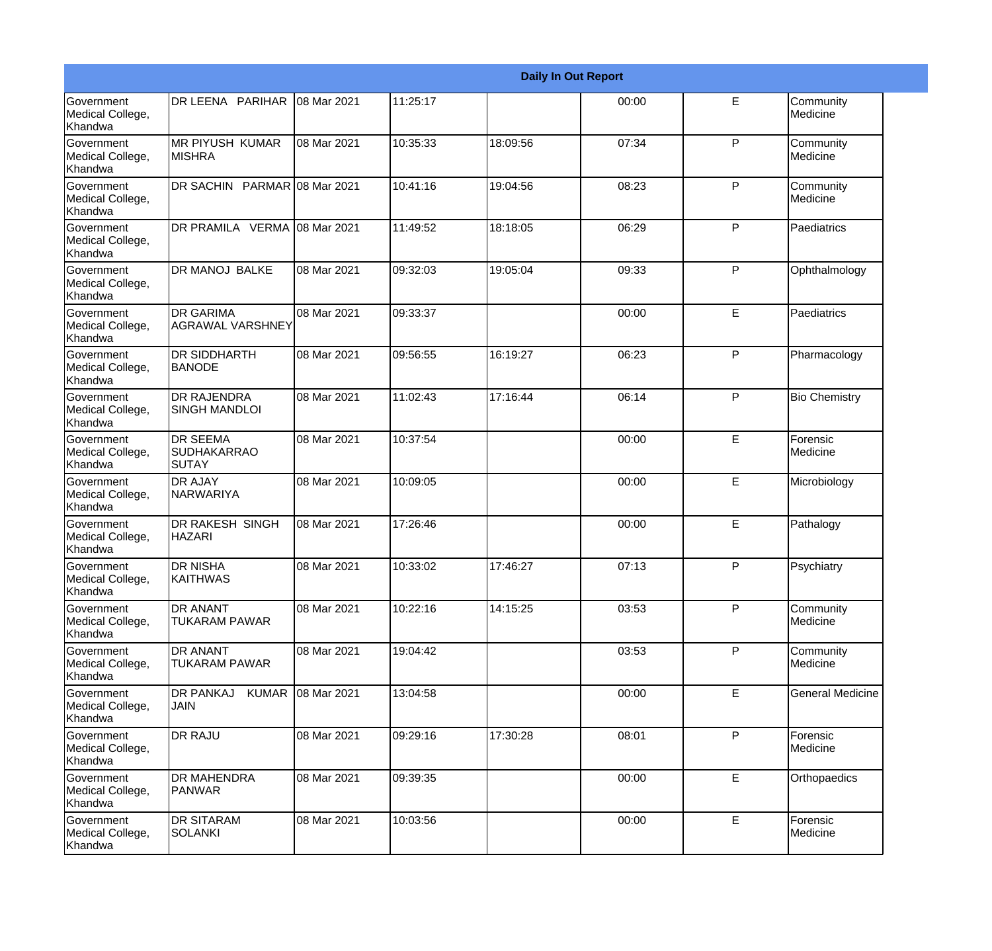|                                                         |                                                |                   |          |          | <b>Daily In Out Report</b> |              |                         |
|---------------------------------------------------------|------------------------------------------------|-------------------|----------|----------|----------------------------|--------------|-------------------------|
| Government<br>Medical College,<br>Khandwa               | DR LEENA PARIHAR                               | 08 Mar 2021       | 11:25:17 |          | 00:00                      | E            | Community<br>Medicine   |
| <b>Government</b><br>Medical College,<br>Khandwa        | <b>MR PIYUSH KUMAR</b><br><b>MISHRA</b>        | 08 Mar 2021       | 10:35:33 | 18:09:56 | 07:34                      | $\mathsf{P}$ | Community<br>Medicine   |
| <b>Government</b><br>Medical College,<br>Khandwa        | DR SACHIN PARMAR 08 Mar 2021                   |                   | 10:41:16 | 19:04:56 | 08:23                      | P            | Community<br>Medicine   |
| <b>Government</b><br>Medical College,<br>Khandwa        | DR PRAMILA VERMA 08 Mar 2021                   |                   | 11:49:52 | 18:18:05 | 06:29                      | $\mathsf{P}$ | Paediatrics             |
| <b>Government</b><br>Medical College,<br>Khandwa        | DR MANOJ BALKE                                 | 08 Mar 2021       | 09:32:03 | 19:05:04 | 09:33                      | P            | Ophthalmology           |
| <b>Government</b><br>Medical College,<br><b>Khandwa</b> | <b>DR GARIMA</b><br><b>AGRAWAL VARSHNEY</b>    | 08 Mar 2021       | 09:33:37 |          | 00:00                      | E            | Paediatrics             |
| Government<br>Medical College,<br>Khandwa               | <b>DR SIDDHARTH</b><br><b>BANODE</b>           | 08 Mar 2021       | 09:56:55 | 16:19:27 | 06:23                      | P            | Pharmacology            |
| Government<br>Medical College,<br>Khandwa               | <b>DR RAJENDRA</b><br><b>SINGH MANDLOI</b>     | 08 Mar 2021       | 11:02:43 | 17:16:44 | 06:14                      | P            | <b>Bio Chemistry</b>    |
| Government<br>Medical College,<br>Khandwa               | <b>DR SEEMA</b><br><b>SUDHAKARRAO</b><br>SUTAY | 08 Mar 2021       | 10:37:54 |          | 00:00                      | E            | Forensic<br>Medicine    |
| <b>Government</b><br>Medical College,<br>Khandwa        | <b>DR AJAY</b><br>NARWARIYA                    | 08 Mar 2021       | 10:09:05 |          | 00:00                      | E            | Microbiology            |
| <b>Government</b><br>Medical College,<br>Khandwa        | <b>DR RAKESH SINGH</b><br><b>HAZARI</b>        | 08 Mar 2021       | 17:26:46 |          | 00:00                      | E            | Pathalogy               |
| Government<br>Medical College,<br>Khandwa               | <b>DR NISHA</b><br><b>KAITHWAS</b>             | 08 Mar 2021       | 10:33:02 | 17:46:27 | 07:13                      | $\mathsf{P}$ | Psychiatry              |
| Government<br>Medical College,<br>Khandwa               | <b>DR ANANT</b><br><b>TUKARAM PAWAR</b>        | 08 Mar 2021       | 10:22:16 | 14:15:25 | 03:53                      | P            | Community<br>Medicine   |
| Government<br>Medical College,<br>Khandwa               | <b>DR ANANT</b><br>TUKARAM PAWAR               | 08 Mar 2021       | 19:04:42 |          | 03:53                      | $\mathsf{P}$ | Community<br>Medicine   |
| Government<br>Medical College,<br>Khandwa               | DR PANKAJ<br><b>JAIN</b>                       | KUMAR 08 Mar 2021 | 13:04:58 |          | 00:00                      | E            | <b>General Medicine</b> |
| Government<br>Medical College,<br>Khandwa               | <b>DR RAJU</b>                                 | 08 Mar 2021       | 09:29:16 | 17:30:28 | 08:01                      | P            | Forensic<br>Medicine    |
| Government<br>Medical College,<br>Khandwa               | <b>DR MAHENDRA</b><br>PANWAR                   | 08 Mar 2021       | 09:39:35 |          | 00:00                      | E            | Orthopaedics            |
| Government<br>Medical College,<br>Khandwa               | <b>DR SITARAM</b><br><b>SOLANKI</b>            | 08 Mar 2021       | 10:03:56 |          | 00:00                      | E            | Forensic<br>Medicine    |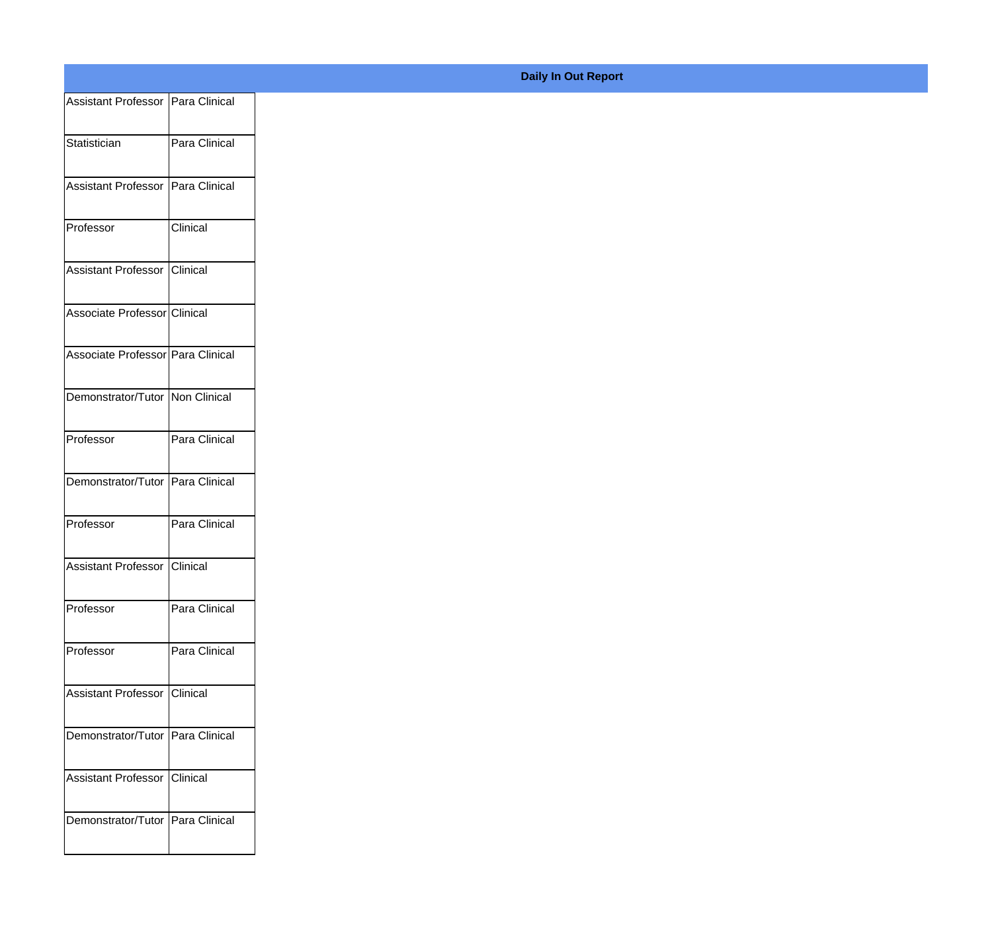| Assistant Professor   Para Clinical |                 |
|-------------------------------------|-----------------|
| Statistician                        | Para Clinical   |
|                                     |                 |
| Assistant Professor   Para Clinical |                 |
| Professor                           | <b>Clinical</b> |
|                                     |                 |
| Assistant Professor Clinical        |                 |
| Associate Professor Clinical        |                 |
|                                     |                 |
| Associate Professor Para Clinical   |                 |
| Demonstrator/Tutor Non Clinical     |                 |
| Professor                           | Para Clinical   |
|                                     |                 |
| Demonstrator/Tutor Para Clinical    |                 |
| Professor                           | Para Clinical   |
|                                     |                 |
| Assistant Professor Clinical        |                 |
| Professor                           | Para Clinical   |
| Professor                           | Para Clinical   |
|                                     |                 |
| Assistant Professor Clinical        |                 |
| Demonstrator/Tutor Para Clinical    |                 |
|                                     |                 |
| Assistant Professor Clinical        |                 |
| Demonstrator/Tutor Para Clinical    |                 |
|                                     |                 |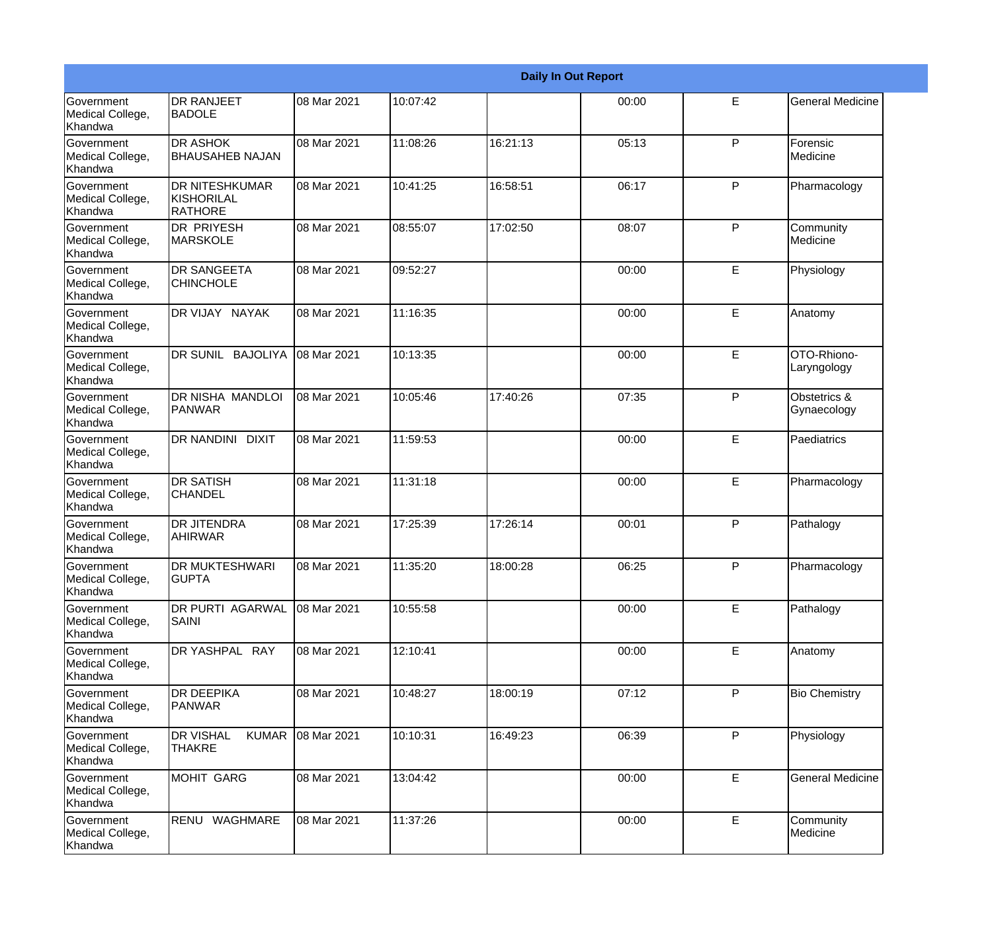|                                                  |                                                       |             |          |          | <b>Daily In Out Report</b> |    |                             |
|--------------------------------------------------|-------------------------------------------------------|-------------|----------|----------|----------------------------|----|-----------------------------|
| Government<br>Medical College,<br>Khandwa        | <b>DR RANJEET</b><br><b>BADOLE</b>                    | 08 Mar 2021 | 10:07:42 |          | 00:00                      | E  | <b>General Medicine</b>     |
| Government<br>Medical College,<br>Khandwa        | <b>DR ASHOK</b><br><b>BHAUSAHEB NAJAN</b>             | 08 Mar 2021 | 11:08:26 | 16:21:13 | 05:13                      | P  | Forensic<br>Medicine        |
| <b>Government</b><br>Medical College,<br>Khandwa | <b>DR NITESHKUMAR</b><br>KISHORILAL<br><b>RATHORE</b> | 08 Mar 2021 | 10:41:25 | 16:58:51 | 06:17                      | P  | Pharmacology                |
| <b>Government</b><br>Medical College,<br>Khandwa | <b>DR PRIYESH</b><br>MARSKOLE                         | 08 Mar 2021 | 08:55:07 | 17:02:50 | 08:07                      | P  | Community<br>Medicine       |
| Government<br>Medical College,<br>Khandwa        | <b>DR SANGEETA</b><br><b>CHINCHOLE</b>                | 08 Mar 2021 | 09:52:27 |          | 00:00                      | E  | Physiology                  |
| Government<br>Medical College,<br>Khandwa        | DR VIJAY NAYAK                                        | 08 Mar 2021 | 11:16:35 |          | 00:00                      | E  | Anatomy                     |
| <b>Government</b><br>Medical College,<br>Khandwa | DR SUNIL BAJOLIYA                                     | 08 Mar 2021 | 10:13:35 |          | 00:00                      | E  | OTO-Rhiono-<br>Laryngology  |
| <b>Government</b><br>Medical College,<br>Khandwa | DR NISHA MANDLOI<br>PANWAR                            | 08 Mar 2021 | 10:05:46 | 17:40:26 | 07:35                      | P  | Obstetrics &<br>Gynaecology |
| Government<br>Medical College,<br>Khandwa        | DR NANDINI DIXIT                                      | 08 Mar 2021 | 11:59:53 |          | 00:00                      | E  | Paediatrics                 |
| Government<br>Medical College,<br>Khandwa        | <b>DR SATISH</b><br><b>CHANDEL</b>                    | 08 Mar 2021 | 11:31:18 |          | 00:00                      | E  | Pharmacology                |
| <b>Government</b><br>Medical College,<br>Khandwa | <b>DR JITENDRA</b><br>AHIRWAR                         | 08 Mar 2021 | 17:25:39 | 17:26:14 | 00:01                      | P  | Pathalogy                   |
| Government<br>Medical College,<br>Khandwa        | <b>DR MUKTESHWARI</b><br><b>GUPTA</b>                 | 08 Mar 2021 | 11:35:20 | 18:00:28 | 06:25                      | P  | Pharmacology                |
| Government<br>Medical College,<br>Khandwa        | DR PURTI AGARWAL<br><b>SAINI</b>                      | 08 Mar 2021 | 10:55:58 |          | 00:00                      | E  | Pathalogy                   |
| Government<br>Medical College,<br>Khandwa        | DR YASHPAL RAY                                        | 08 Mar 2021 | 12:10:41 |          | 00:00                      | Е  | Anatomy                     |
| Government<br>Medical College,<br>Khandwa        | <b>DR DEEPIKA</b><br>PANWAR                           | 08 Mar 2021 | 10:48:27 | 18:00:19 | 07:12                      | P  | <b>Bio Chemistry</b>        |
| Government<br>Medical College,<br>Khandwa        | <b>DR VISHAL</b><br><b>KUMAR</b><br><b>THAKRE</b>     | 08 Mar 2021 | 10:10:31 | 16:49:23 | 06:39                      | P  | Physiology                  |
| Government<br>Medical College,<br>Khandwa        | <b>MOHIT GARG</b>                                     | 08 Mar 2021 | 13:04:42 |          | 00:00                      | E. | <b>General Medicine</b>     |
| Government<br>Medical College,<br>Khandwa        | RENU WAGHMARE                                         | 08 Mar 2021 | 11:37:26 |          | 00:00                      | E  | Community<br>Medicine       |